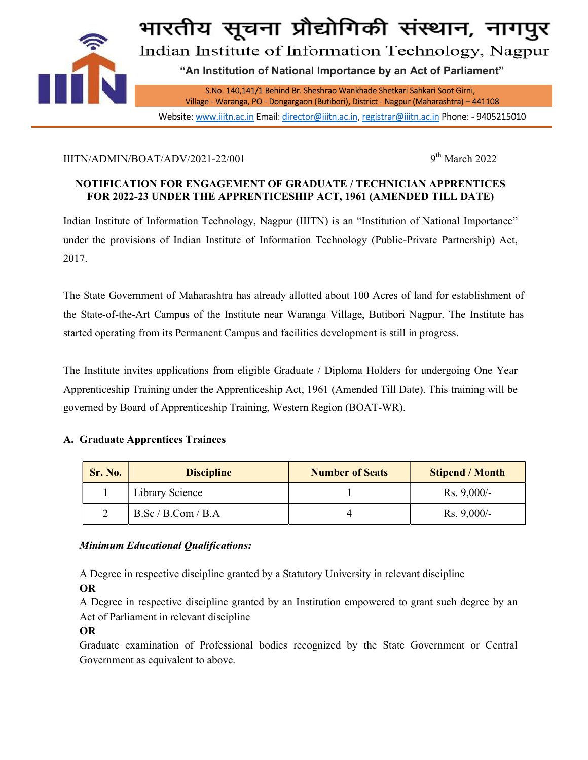

भारतीय सूचना प्रौद्योगिकी संस्थान, नागपु

Indian Institute of Information Technology, Nagpur

"An Institution of National Importance by an Act of Parliament"

S.No. 140,141/1 Behind Br. Sheshrao Wankhade Shetkari Sahkari Soot Girni,

Village - Waranga, PO - Dongargaon (Butibori), District - Nagpur (Maharashtra) – 441108 Website: www.iiitn.ac.in Email: director@iiitn.ac.in, registrar@iiitn.ac.in Phone: - 9405215010

# IIITN/ADMIN/BOAT/ADV/2021-22/001  $9<sup>th</sup> March 2022$

# NOTIFICATION FOR ENGAGEMENT OF GRADUATE / TECHNICIAN APPRENTICES FOR 2022-23 UNDER THE APPRENTICESHIP ACT, 1961 (AMENDED TILL DATE)

Indian Institute of Information Technology, Nagpur (IIITN) is an "Institution of National Importance" under the provisions of Indian Institute of Information Technology (Public-Private Partnership) Act, 2017.

The State Government of Maharashtra has already allotted about 100 Acres of land for establishment of the State-of-the-Art Campus of the Institute near Waranga Village, Butibori Nagpur. The Institute has started operating from its Permanent Campus and facilities development is still in progress.

The Institute invites applications from eligible Graduate / Diploma Holders for undergoing One Year Apprenticeship Training under the Apprenticeship Act, 1961 (Amended Till Date). This training will be governed by Board of Apprenticeship Training, Western Region (BOAT-WR).

### A. Graduate Apprentices Trainees

| <b>Sr. No.</b> | <b>Discipline</b>  | <b>Number of Seats</b> | <b>Stipend / Month</b> |
|----------------|--------------------|------------------------|------------------------|
|                | Library Science    |                        | $Rs. 9,000/-$          |
|                | B.Sc / B.Com / B.A |                        | $Rs. 9,000/-$          |

### Minimum Educational Qualifications:

A Degree in respective discipline granted by a Statutory University in relevant discipline

OR

A Degree in respective discipline granted by an Institution empowered to grant such degree by an Act of Parliament in relevant discipline

### OR

Graduate examination of Professional bodies recognized by the State Government or Central Government as equivalent to above.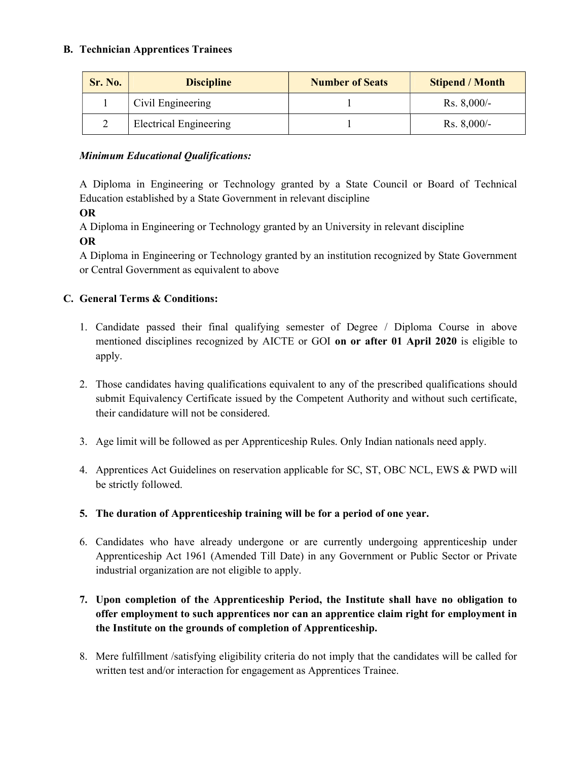### B. Technician Apprentices Trainees

| Sr. No. | <b>Discipline</b>             | <b>Number of Seats</b> | <b>Stipend / Month</b> |
|---------|-------------------------------|------------------------|------------------------|
|         | Civil Engineering             |                        | $Rs. 8,000/-$          |
|         | <b>Electrical Engineering</b> |                        | $Rs. 8,000/-$          |

# Minimum Educational Qualifications:

A Diploma in Engineering or Technology granted by a State Council or Board of Technical Education established by a State Government in relevant discipline

OR

A Diploma in Engineering or Technology granted by an University in relevant discipline OR

A Diploma in Engineering or Technology granted by an institution recognized by State Government or Central Government as equivalent to above

# C. General Terms & Conditions:

- 1. Candidate passed their final qualifying semester of Degree / Diploma Course in above mentioned disciplines recognized by AICTE or GOI on or after 01 April 2020 is eligible to apply.
- 2. Those candidates having qualifications equivalent to any of the prescribed qualifications should submit Equivalency Certificate issued by the Competent Authority and without such certificate, their candidature will not be considered.
- 3. Age limit will be followed as per Apprenticeship Rules. Only Indian nationals need apply.
- 4. Apprentices Act Guidelines on reservation applicable for SC, ST, OBC NCL, EWS & PWD will be strictly followed.
- 5. The duration of Apprenticeship training will be for a period of one year.
- 6. Candidates who have already undergone or are currently undergoing apprenticeship under Apprenticeship Act 1961 (Amended Till Date) in any Government or Public Sector or Private industrial organization are not eligible to apply.
- 7. Upon completion of the Apprenticeship Period, the Institute shall have no obligation to offer employment to such apprentices nor can an apprentice claim right for employment in the Institute on the grounds of completion of Apprenticeship.
- 8. Mere fulfillment /satisfying eligibility criteria do not imply that the candidates will be called for written test and/or interaction for engagement as Apprentices Trainee.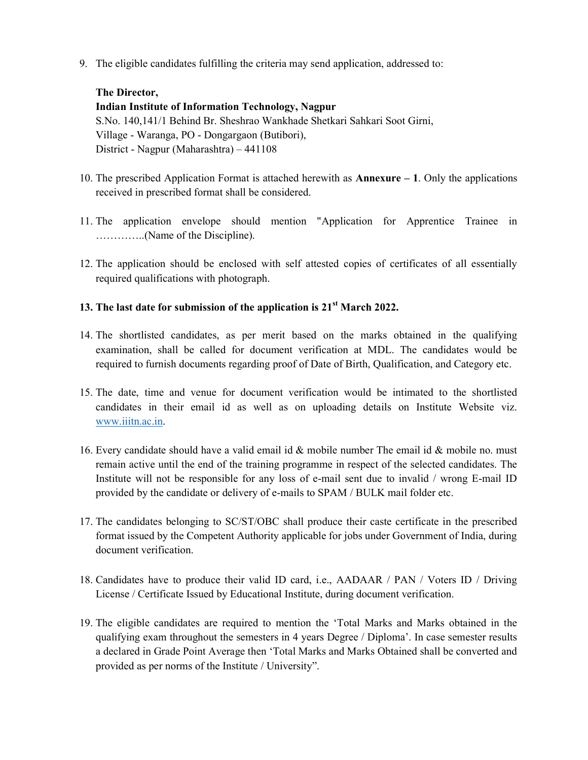9. The eligible candidates fulfilling the criteria may send application, addressed to:

# The Director,

Indian Institute of Information Technology, Nagpur S.No. 140,141/1 Behind Br. Sheshrao Wankhade Shetkari Sahkari Soot Girni, Village - Waranga, PO - Dongargaon (Butibori), District - Nagpur (Maharashtra) – 441108

- 10. The prescribed Application Format is attached herewith as Annexure 1. Only the applications received in prescribed format shall be considered.
- 11. The application envelope should mention "Application for Apprentice Trainee in …………..(Name of the Discipline).
- 12. The application should be enclosed with self attested copies of certificates of all essentially required qualifications with photograph.

### 13. The last date for submission of the application is  $21<sup>st</sup> March 2022$ .

- 14. The shortlisted candidates, as per merit based on the marks obtained in the qualifying examination, shall be called for document verification at MDL. The candidates would be required to furnish documents regarding proof of Date of Birth, Qualification, and Category etc.
- 15. The date, time and venue for document verification would be intimated to the shortlisted candidates in their email id as well as on uploading details on Institute Website viz. www.iiitn.ac.in.
- 16. Every candidate should have a valid email id & mobile number The email id & mobile no. must remain active until the end of the training programme in respect of the selected candidates. The Institute will not be responsible for any loss of e-mail sent due to invalid / wrong E-mail ID provided by the candidate or delivery of e-mails to SPAM / BULK mail folder etc.
- 17. The candidates belonging to SC/ST/OBC shall produce their caste certificate in the prescribed format issued by the Competent Authority applicable for jobs under Government of India, during document verification.
- 18. Candidates have to produce their valid ID card, i.e., AADAAR / PAN / Voters ID / Driving License / Certificate Issued by Educational Institute, during document verification.
- 19. The eligible candidates are required to mention the 'Total Marks and Marks obtained in the qualifying exam throughout the semesters in 4 years Degree / Diploma'. In case semester results a declared in Grade Point Average then 'Total Marks and Marks Obtained shall be converted and provided as per norms of the Institute / University".